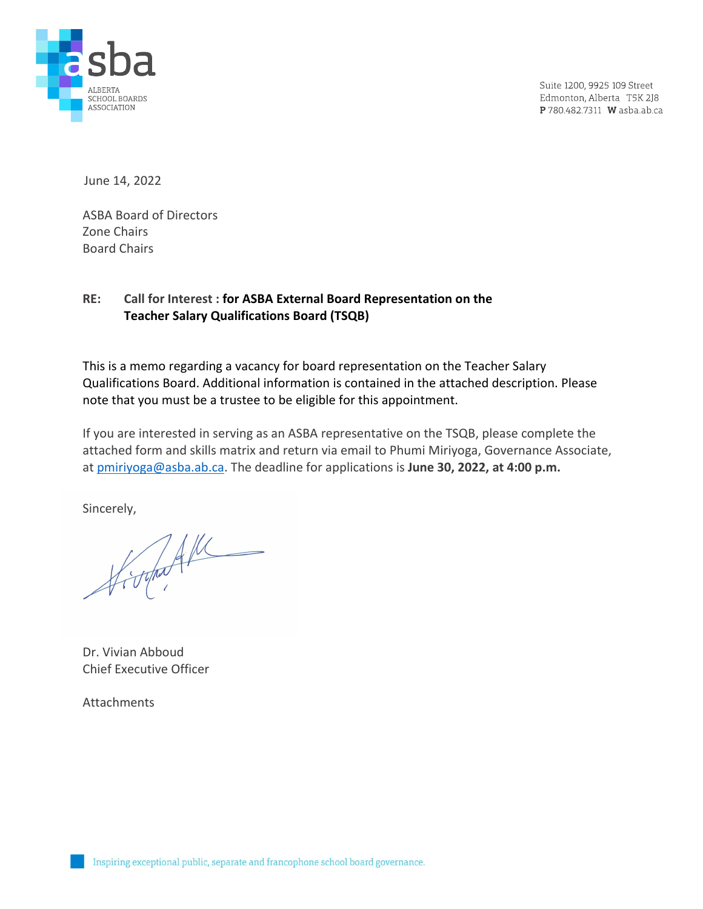

Suite 1200, 9925 109 Street Edmonton, Alberta T5K 2J8 P 780.482.7311 W asba.ab.ca

June 14, 2022

ASBA Board of Directors Zone Chairs Board Chairs

## **RE: Call for Interest : for ASBA External Board Representation on the Teacher Salary Qualifications Board (TSQB)**

This is a memo regarding a vacancy for board representation on the Teacher Salary Qualifications Board. Additional information is contained in the attached description. Please note that you must be a trustee to be eligible for this appointment.

If you are interested in serving as an ASBA representative on the TSQB, please complete the attached form and skills matrix and return via email to Phumi Miriyoga, Governance Associate, at [pmiriyoga@asba.ab.ca.](mailto:pmiriyoga@asba.ab.ca) The deadline for applications is **June 30, 2022, at 4:00 p.m.**

Sincerely,

Dr. Vivian Abboud Chief Executive Officer

**Attachments**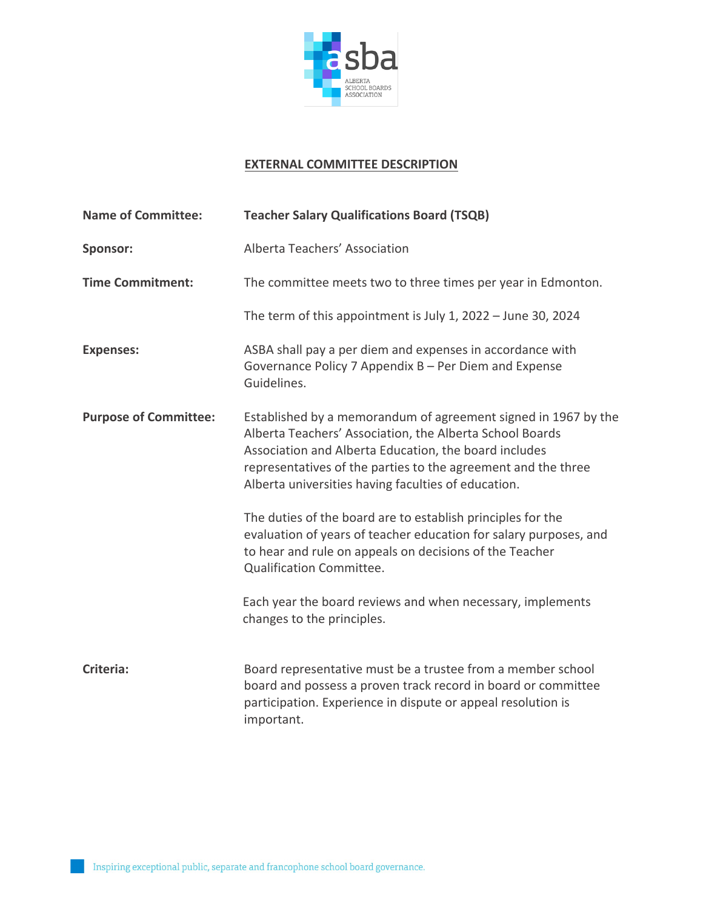

## **EXTERNAL COMMITTEE DESCRIPTION**

| <b>Name of Committee:</b>    | <b>Teacher Salary Qualifications Board (TSQB)</b>                                                                                                                                                                                                                                                           |
|------------------------------|-------------------------------------------------------------------------------------------------------------------------------------------------------------------------------------------------------------------------------------------------------------------------------------------------------------|
| <b>Sponsor:</b>              | Alberta Teachers' Association                                                                                                                                                                                                                                                                               |
| <b>Time Commitment:</b>      | The committee meets two to three times per year in Edmonton.                                                                                                                                                                                                                                                |
|                              | The term of this appointment is July 1, 2022 - June 30, 2024                                                                                                                                                                                                                                                |
| <b>Expenses:</b>             | ASBA shall pay a per diem and expenses in accordance with<br>Governance Policy 7 Appendix B - Per Diem and Expense<br>Guidelines.                                                                                                                                                                           |
| <b>Purpose of Committee:</b> | Established by a memorandum of agreement signed in 1967 by the<br>Alberta Teachers' Association, the Alberta School Boards<br>Association and Alberta Education, the board includes<br>representatives of the parties to the agreement and the three<br>Alberta universities having faculties of education. |
|                              | The duties of the board are to establish principles for the<br>evaluation of years of teacher education for salary purposes, and<br>to hear and rule on appeals on decisions of the Teacher<br>Qualification Committee.                                                                                     |
|                              | Each year the board reviews and when necessary, implements<br>changes to the principles.                                                                                                                                                                                                                    |
| Criteria:                    | Board representative must be a trustee from a member school<br>board and possess a proven track record in board or committee<br>participation. Experience in dispute or appeal resolution is<br>important.                                                                                                  |